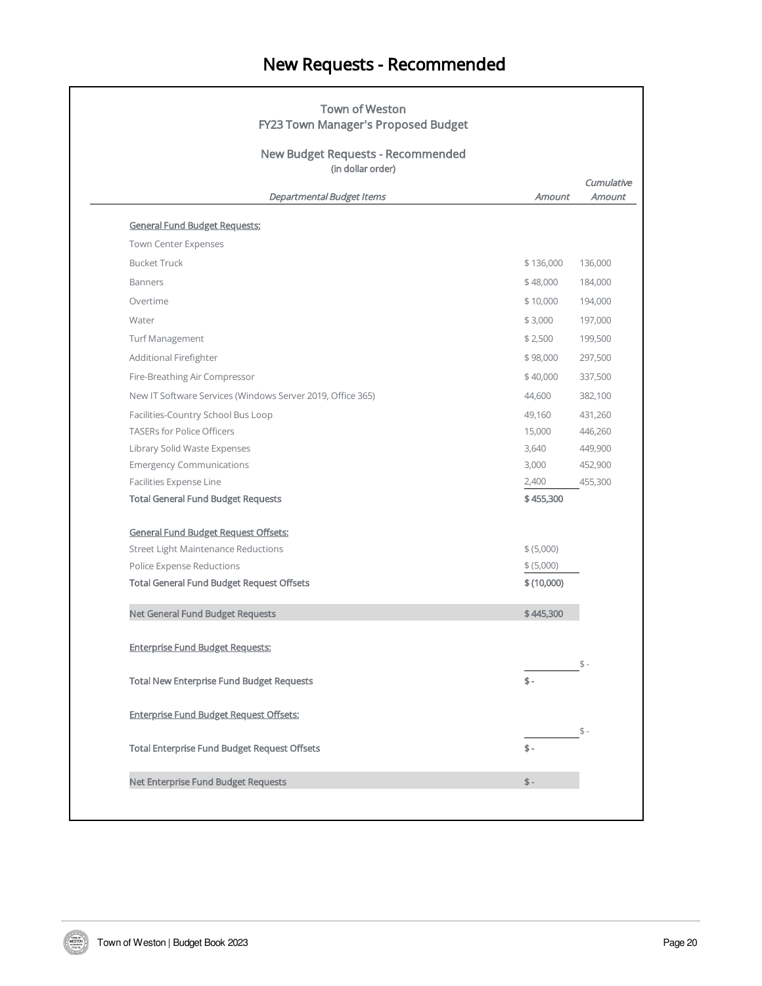## New Requests - Recommended

| <b>New Budget Requests - Recommended</b><br>(in dollar order)<br>Cumulative |            |         |
|-----------------------------------------------------------------------------|------------|---------|
| Departmental Budget Items                                                   | Amount     | Amount  |
| <b>General Fund Budget Requests:</b>                                        |            |         |
| Town Center Expenses                                                        |            |         |
| <b>Bucket Truck</b>                                                         | \$136,000  | 136,000 |
| <b>Banners</b>                                                              | \$48,000   | 184,000 |
| Overtime                                                                    | \$10,000   | 194,000 |
| Water                                                                       | \$3,000    | 197,000 |
| <b>Turf Management</b>                                                      | \$2,500    | 199,500 |
| Additional Firefighter                                                      | \$98,000   | 297,500 |
| Fire-Breathing Air Compressor                                               | \$40,000   | 337,500 |
| New IT Software Services (Windows Server 2019, Office 365)                  | 44,600     | 382,100 |
| Facilities-Country School Bus Loop                                          | 49,160     | 431,260 |
| <b>TASERs for Police Officers</b>                                           | 15,000     | 446,260 |
| Library Solid Waste Expenses                                                | 3,640      | 449,900 |
| <b>Emergency Communications</b>                                             | 3,000      | 452,900 |
| Facilities Expense Line                                                     | 2,400      | 455,300 |
| <b>Total General Fund Budget Requests</b>                                   | \$455,300  |         |
| <b>General Fund Budget Request Offsets:</b>                                 |            |         |
| <b>Street Light Maintenance Reductions</b>                                  | \$ (5,000) |         |
| Police Expense Reductions                                                   | \$ (5,000) |         |
| <b>Total General Fund Budget Request Offsets</b>                            | \$(10,000) |         |
| Net General Fund Budget Requests                                            | \$445,300  |         |
| <b>Enterprise Fund Budget Requests:</b>                                     |            |         |
| <b>Total New Enterprise Fund Budget Requests</b>                            | $$ -$      | $$ -$   |
| <b>Enterprise Fund Budget Request Offsets:</b>                              |            |         |
| <b>Total Enterprise Fund Budget Request Offsets</b>                         | \$-        | $$ -$   |
|                                                                             |            |         |
| Net Enterprise Fund Budget Requests                                         | $$ -$      |         |